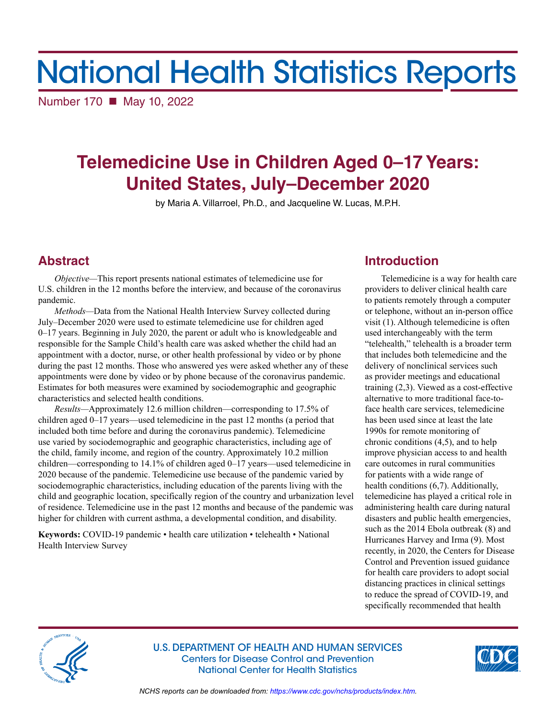# National Health Statistics Reports

Number 170 ■ May 10, 2022

# **Telemedicine Use in Children Aged 0–17 Years: United States, July–December 2020**

by Maria A. Villarroel, Ph.D., and Jacqueline W. Lucas, M.P.H.

# **Abstract**

*Objective—*This report presents national estimates of telemedicine use for U.S. children in the 12 months before the interview, and because of the coronavirus pandemic.

*Methods—*Data from the National Health Interview Survey collected during July–December 2020 were used to estimate telemedicine use for children aged  $0-17$  years. Beginning in July 2020, the parent or adult who is knowledgeable and responsible for the Sample Child's health care was asked whether the child had an appointment with a doctor, nurse, or other health professional by video or by phone during the past 12 months. Those who answered yes were asked whether any of these appointments were done by video or by phone because of the coronavirus pandemic. Estimates for both measures were examined by sociodemographic and geographic characteristics and selected health conditions.

*Results—*Approximately 12.6 million children—corresponding to 17.5% of children aged 0–17 years—used telemedicine in the past 12 months (a period that included both time before and during the coronavirus pandemic). Telemedicine use varied by sociodemographic and geographic characteristics, including age of the child, family income, and region of the country. Approximately 10.2 million children—corresponding to 14.1% of children aged 0–17 years—used telemedicine in 2020 because of the pandemic. Telemedicine use because of the pandemic varied by sociodemographic characteristics, including education of the parents living with the child and geographic location, specifically region of the country and urbanization level of residence. Telemedicine use in the past 12 months and because of the pandemic was higher for children with current asthma, a developmental condition, and disability.

**Keywords:** COVID-19 pandemic • health care utilization • telehealth • National Health Interview Survey

# **Introduction**

Telemedicine is a way for health care providers to deliver clinical health care to patients remotely through a computer or telephone, without an in-person office visit (1). Although telemedicine is often used interchangeably with the term "telehealth," telehealth is a broader term that includes both telemedicine and the delivery of nonclinical services such as provider meetings and educational training (2,3). Viewed as a cost-effective alternative to more traditional face-toface health care services, telemedicine has been used since at least the late 1990s for remote monitoring of chronic conditions (4,5), and to help improve physician access to and health care outcomes in rural communities for patients with a wide range of health conditions (6,7). Additionally, telemedicine has played a critical role in administering health care during natural disasters and public health emergencies, such as the 2014 Ebola outbreak (8) and Hurricanes Harvey and Irma (9). Most recently, in 2020, the Centers for Disease Control and Prevention issued guidance for health care providers to adopt social distancing practices in clinical settings to reduce the spread of COVID-19, and specifically recommended that health



U.S. DEPARTMENT OF HEALTH AND HUMAN SERVICES Centers for Disease Control and Prevention National Center for Health Statistics



*NCHS reports can be downloaded from:<https://www.cdc.gov/nchs/products/index.htm>.*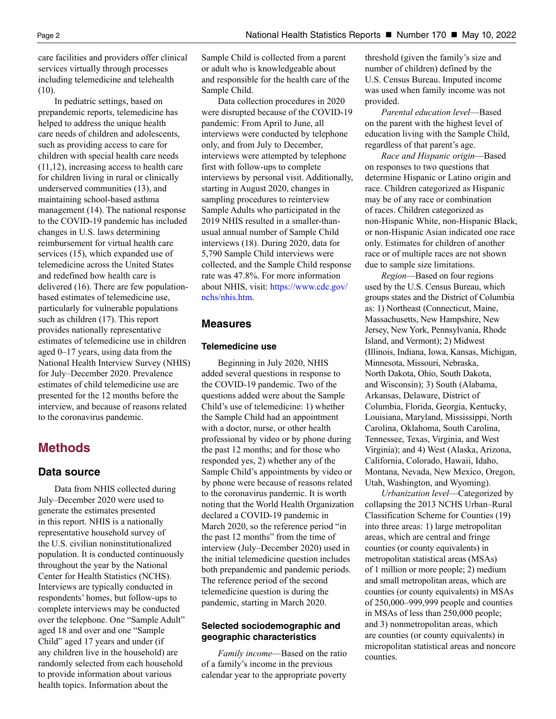care facilities and providers offer clinical services virtually through processes including telemedicine and telehealth (10).

In pediatric settings, based on prepandemic reports, telemedicine has helped to address the unique health care needs of children and adolescents, such as providing access to care for children with special health care needs (11,12), increasing access to health care for children living in rural or clinically underserved communities (13), and maintaining school-based asthma management (14). The national response to the COVID-19 pandemic has included changes in U.S. laws determining reimbursement for virtual health care services (15), which expanded use of telemedicine across the United States and redefined how health care is delivered (16). There are few populationbased estimates of telemedicine use, particularly for vulnerable populations such as children (17). This report provides nationally representative estimates of telemedicine use in children aged 0–17 years, using data from the National Health Interview Survey (NHIS) for July–December 2020. Prevalence estimates of child telemedicine use are presented for the 12 months before the interview, and because of reasons related to the coronavirus pandemic.

# **Methods**

# **Data source**

Data from NHIS collected during July–December 2020 were used to generate the estimates presented in this report. NHIS is a nationally representative household survey of the U.S. civilian noninstitutionalized population. It is conducted continuously throughout the year by the National Center for Health Statistics (NCHS). Interviews are typically conducted in respondents' homes, but follow-ups to complete interviews may be conducted over the telephone. One "Sample Adult" aged 18 and over and one "Sample Child" aged 17 years and under (if any children live in the household) are randomly selected from each household to provide information about various health topics. Information about the

Sample Child is collected from a parent or adult who is knowledgeable about and responsible for the health care of the Sample Child.

Data collection procedures in 2020 were disrupted because of the COVID-19 pandemic: From April to June, all interviews were conducted by telephone only, and from July to December, interviews were attempted by telephone first with follow-ups to complete interviews by personal visit. Additionally, starting in August 2020, changes in sampling procedures to reinterview Sample Adults who participated in the 2019 NHIS resulted in a smaller-thanusual annual number of Sample Child interviews (18). During 2020, data for 5,790 Sample Child interviews were collected, and the Sample Child response rate was 47.8%. For more information about NHIS, visit: [https://www.cdc.gov/](https://www.cdc.gov/nchs/nhis.htm) [nchs/nhis.htm.](https://www.cdc.gov/nchs/nhis.htm)

# **Measures**

## **Telemedicine use**

Beginning in July 2020, NHIS added several questions in response to the COVID-19 pandemic. Two of the questions added were about the Sample Child's use of telemedicine: 1) whether the Sample Child had an appointment with a doctor, nurse, or other health professional by video or by phone during the past 12 months; and for those who responded yes, 2) whether any of the Sample Child's appointments by video or by phone were because of reasons related to the coronavirus pandemic. It is worth noting that the World Health Organization declared a COVID-19 pandemic in March 2020, so the reference period "in the past 12 months" from the time of interview (July–December 2020) used in the initial telemedicine question includes both prepandemic and pandemic periods. The reference period of the second telemedicine question is during the pandemic, starting in March 2020.

# **Selected sociodemographic and geographic characteristics**

*Family income*—Based on the ratio of a family's income in the previous calendar year to the appropriate poverty

threshold (given the family's size and number of children) defined by the U.S. Census Bureau. Imputed income was used when family income was not provided.

*Parental education level*—Based on the parent with the highest level of education living with the Sample Child, regardless of that parent's age.

*Race and Hispanic origin*—Based on responses to two questions that determine Hispanic or Latino origin and race. Children categorized as Hispanic may be of any race or combination of races. Children categorized as non-Hispanic White, non-Hispanic Black, or non-Hispanic Asian indicated one race only. Estimates for children of another race or of multiple races are not shown due to sample size limitations.

*Region*—Based on four regions used by the U.S. Census Bureau, which groups states and the District of Columbia as: 1) Northeast (Connecticut, Maine, Massachusetts, New Hampshire, New Jersey, New York, Pennsylvania, Rhode Island, and Vermont); 2) Midwest (Illinois, Indiana, Iowa, Kansas, Michigan, Minnesota, Missouri, Nebraska, North Dakota, Ohio, South Dakota, and Wisconsin); 3) South (Alabama, Arkansas, Delaware, District of Columbia, Florida, Georgia, Kentucky, Louisiana, Maryland, Mississippi, North Carolina, Oklahoma, South Carolina, Tennessee, Texas, Virginia, and West Virginia); and 4) West (Alaska, Arizona, California, Colorado, Hawaii, Idaho, Montana, Nevada, New Mexico, Oregon, Utah, Washington, and Wyoming).

*Urbanization level*—Categorized by collapsing the 2013 NCHS Urban–Rural Classification Scheme for Counties (19) into three areas: 1) large metropolitan areas, which are central and fringe counties (or county equivalents) in metropolitan statistical areas (MSAs) of 1 million or more people; 2) medium and small metropolitan areas, which are counties (or county equivalents) in MSAs of 250,000–999,999 people and counties in MSAs of less than 250,000 people; and 3) nonmetropolitan areas, which are counties (or county equivalents) in micropolitan statistical areas and noncore counties.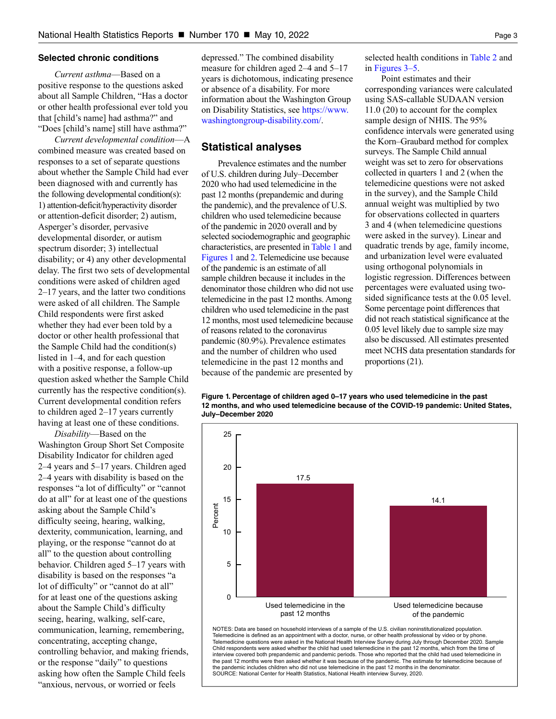### <span id="page-2-0"></span>**Selected chronic conditions**

*Current asthma*—Based on a positive response to the questions asked about all Sample Children, "Has a doctor or other health professional ever told you that [child's name] had asthma?" and "Does [child's name] still have asthma?"

*Current developmental condition*—A combined measure was created based on responses to a set of separate questions about whether the Sample Child had ever been diagnosed with and currently has the following developmental condition(s): 1) attention-deficit/hyperactivity disorder or attention-deficit disorder; 2) autism, Asperger's disorder, pervasive developmental disorder, or autism spectrum disorder; 3) intellectual disability; or 4) any other developmental delay. The first two sets of developmental conditions were asked of children aged 2–17 years, and the latter two conditions were asked of all children. The Sample Child respondents were first asked whether they had ever been told by a doctor or other health professional that the Sample Child had the condition(s) listed in 1–4, and for each question with a positive response, a follow-up question asked whether the Sample Child currently has the respective condition(s). Current developmental condition refers to children aged 2–17 years currently having at least one of these conditions.

*Disability*—Based on the Washington Group Short Set Composite Disability Indicator for children aged 2–4 years and 5–17 years. Children aged 2–4 years with disability is based on the responses "a lot of difficulty" or "cannot do at all" for at least one of the questions asking about the Sample Child's difficulty seeing, hearing, walking, dexterity, communication, learning, and playing, or the response "cannot do at all" to the question about controlling behavior. Children aged 5–17 years with disability is based on the responses "a lot of difficulty" or "cannot do at all" for at least one of the questions asking about the Sample Child's difficulty seeing, hearing, walking, self-care, communication, learning, remembering, concentrating, accepting change, controlling behavior, and making friends, or the response "daily" to questions asking how often the Sample Child feels "anxious, nervous, or worried or feels

depressed." The combined disability measure for children aged 2–4 and 5–17 years is dichotomous, indicating presence or absence of a disability. For more information about the Washington Group on Disability Statistics, see [https://www.](https://www.washingtongroup-disability.com/) [washingtongroup-disability.com/.](https://www.washingtongroup-disability.com/)

# **Statistical analyses**

Prevalence estimates and the number of U.S. children during July–December 2020 who had used telemedicine in the past 12 months (prepandemic and during the pandemic), and the prevalence of U.S. children who used telemedicine because of the pandemic in 2020 overall and by selected sociodemographic and geographic characteristics, are presented in [Table 1 a](#page-8-0)nd Figures 1 an[d 2.](#page-3-0) Telemedicine use because of the pandemic is an estimate of all sample children because it includes in the denominator those children who did not use telemedicine in the past 12 months. Among children who used telemedicine in the past 12 months, most used telemedicine because of reasons related to the coronavirus pandemic (80.9%). Prevalence estimates and the number of children who used telemedicine in the past 12 months and because of the pandemic are presented by selected health conditions in [Table 2 a](#page-9-0)nd in [Figures 3](#page-3-0)[–5.](#page-4-0)

Point estimates and their corresponding variances were calculated using SAS-callable SUDAAN version 11.0 (20) to account for the complex sample design of NHIS. The 95% confidence intervals were generated using the Korn–Graubard method for complex surveys. The Sample Child annual weight was set to zero for observations collected in quarters 1 and 2 (when the telemedicine questions were not asked in the survey), and the Sample Child annual weight was multiplied by two for observations collected in quarters 3 and 4 (when telemedicine questions were asked in the survey). Linear and quadratic trends by age, family income, and urbanization level were evaluated using orthogonal polynomials in logistic regression. Differences between percentages were evaluated using twosided significance tests at the 0.05 level. Some percentage point differences that did not reach statistical significance at the 0.05 level likely due to sample size may also be discussed. All estimates presented meet NCHS data presentation standards for proportions (21).





Telemedicine questions were asked in the National Health Interview Survey during July through December 2020. Sample Child respondents were asked whether the child had used telemedicine in the past 12 months, which from the time of<br>interview covered both prepandemic and pandemic periods. Those who reported that the child had used telemed the past 12 months were then asked whether it was because of the pandemic. The estimate for telemedicine because of pandemic includes children who did not use telemedicine in the past 12 months in the denominator. SOURCE: National Center for Health Statistics, National Health interview Survey, 2020.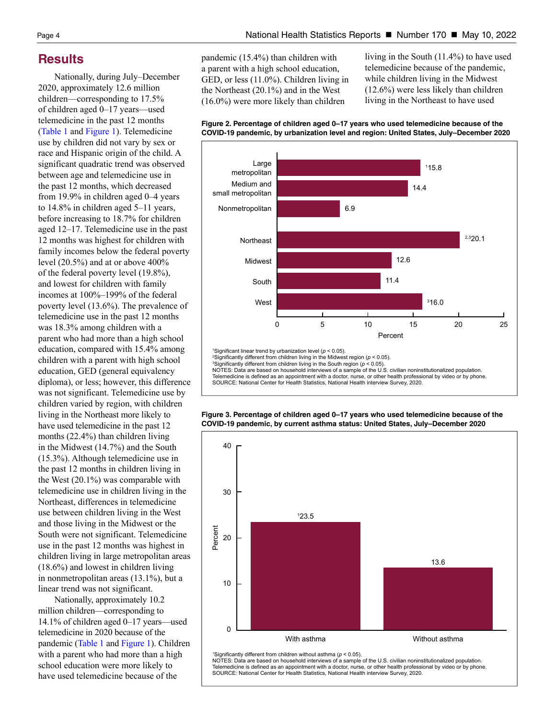# <span id="page-3-0"></span>**Results**

Nationally, during July–December 2020, approximately 12.6 million children—corresponding to 17.5% of children aged 0–17 years—used telemedicine in the past 12 months [\(Table 1 a](#page-8-0)nd [Figure 1\)](#page-2-0). Telemedicine use by children did not vary by sex or race and Hispanic origin of the child. A significant quadratic trend was observed between age and telemedicine use in the past 12 months, which decreased from 19.9% in children aged 0–4 years to 14.8% in children aged 5–11 years, before increasing to 18.7% for children aged 12–17. Telemedicine use in the past 12 months was highest for children with family incomes below the federal poverty level (20.5%) and at or above 400% of the federal poverty level (19.8%), and lowest for children with family incomes at 100%–199% of the federal poverty level (13.6%). The prevalence of telemedicine use in the past 12 months was 18.3% among children with a parent who had more than a high school education, compared with 15.4% among children with a parent with high school education, GED (general equivalency diploma), or less; however, this difference was not significant. Telemedicine use by children varied by region, with children living in the Northeast more likely to have used telemedicine in the past 12 months (22.4%) than children living in the Midwest (14.7%) and the South (15.3%). Although telemedicine use in the past 12 months in children living in the West (20.1%) was comparable with telemedicine use in children living in the Northeast, differences in telemedicine use between children living in the West and those living in the Midwest or the South were not significant. Telemedicine use in the past 12 months was highest in children living in large metropolitan areas (18.6%) and lowest in children living in nonmetropolitan areas (13.1%), but a linear trend was not significant.

Nationally, approximately 10.2 million children—corresponding to 14.1% of children aged 0–17 years—used telemedicine in 2020 because of the pandemic [\(Table 1](#page-8-0) and [Figure 1\)](#page-2-0). Children with a parent who had more than a high school education were more likely to have used telemedicine because of the

pandemic (15.4%) than children with a parent with a high school education, GED, or less (11.0%). Children living in the Northeast (20.1%) and in the West (16.0%) were more likely than children

living in the South (11.4%) to have used telemedicine because of the pandemic, while children living in the Midwest (12.6%) were less likely than children living in the Northeast to have used





**Figure 3. Percentage of children aged 0–17 years who used telemedicine because of the COVID-19 pandemic, by current asthma status: United States, July–December 2020**

SOURCE: National Center for Health Statistics, National Health interview Survey, 2020.



NOTES: Data are based on household interviews of a sample of the U.S. civilian noninstitutionalized population. Telemedicine is defined as an appointment with a doctor, nurse, or other health professional by video or by phone. SOURCE: National Center for Health Statistics, National Health interview Survey, 2020.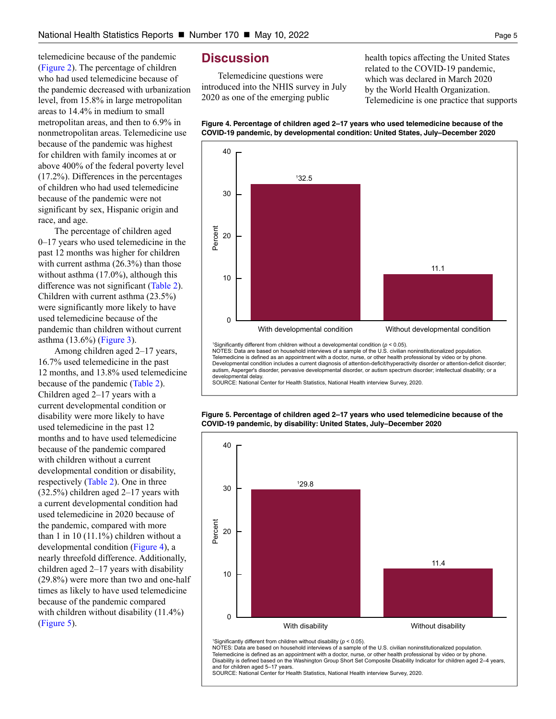<span id="page-4-0"></span>telemedicine because of the pandemic [\(Figure 2\)](#page-3-0). The percentage of children who had used telemedicine because of the pandemic decreased with urbanization level, from 15.8% in large metropolitan areas to 14.4% in medium to small metropolitan areas, and then to 6.9% in nonmetropolitan areas. Telemedicine use because of the pandemic was highest for children with family incomes at or above 400% of the federal poverty level (17.2%). Differences in the percentages of children who had used telemedicine because of the pandemic were not significant by sex, Hispanic origin and race, and age.

The percentage of children aged 0–17 years who used telemedicine in the past 12 months was higher for children with current asthma (26.3%) than those without asthma (17.0%), although this difference was not significant [\(Table 2\)](#page-9-0). Children with current asthma (23.5%) were significantly more likely to have used telemedicine because of the pandemic than children without current asthma (13.6%) [\(Figure 3\)](#page-3-0).

Among children aged 2–17 years, 16.7% used telemedicine in the past 12 months, and 13.8% used telemedicine because of the pandemic [\(Table 2\)](#page-9-0). Children aged 2–17 years with a current developmental condition or disability were more likely to have used telemedicine in the past 12 months and to have used telemedicine because of the pandemic compared with children without a current developmental condition or disability, respectively [\(Table 2\)](#page-9-0). One in three (32.5%) children aged 2–17 years with a current developmental condition had used telemedicine in 2020 because of the pandemic, compared with more than 1 in 10 (11.1%) children without a developmental condition (Figure 4), a nearly threefold difference. Additionally, children aged 2–17 years with disability (29.8%) were more than two and one-half times as likely to have used telemedicine because of the pandemic compared with children without disability (11.4%) (Figure 5).

# **Discussion**

Telemedicine questions were introduced into the NHIS survey in July 2020 as one of the emerging public

health topics affecting the United States related to the COVID-19 pandemic, which was declared in March 2020 by the World Health Organization. Telemedicine is one practice that supports





'Significantly different from children without a developmental condition ( $p < 0.05$ ). NOTES: Data are based on household interviews of a sample of the U.S. civilian noninstitutionalized population. Telemedicine is defined as an appointment with a doctor, nurse, or other health professional by video or by phone Developmental condition includes a current diagnosis of attention-deficit/hyperactivity disorder .<br>· or attention .<br>-deficit disorder: autism, Asperger's disorder, pervasive developmental disorder, or autism spectrum disorder; intellectual disability; or a developmental delay.

SOURCE: National Center for Health Statistics, National Health interview Survey, 2020.

**Figure 5. Percentage of children aged 2–17 years who used telemedicine because of the COVID-19 pandemic, by disability: United States, July–December 2020**



<sup>1</sup>Significantly different from children without disability ( $p < 0.05$ ).

NOTES: Data are based on household interviews of a sample of the U.S. civilian noninstitutionalized population. Telemedicine is defined as an appointment with a doctor, nurse, or other health professional by video or by phone Disability is defined based on the Washington Group Short Set Composite Disability Indicator for children aged 2-4 years, and for children aged 5-17 years

SOURCE: National Center for Health Statistics. National Health interview Survey, 2020.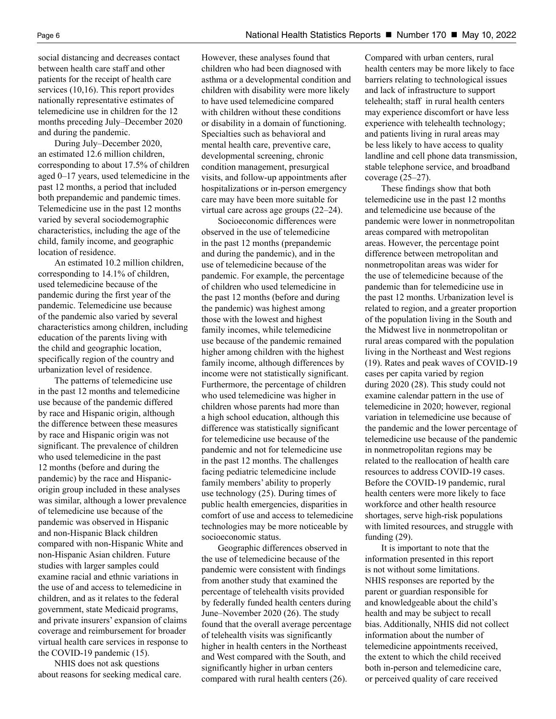social distancing and decreases contact between health care staff and other patients for the receipt of health care services (10,16). This report provides nationally representative estimates of telemedicine use in children for the 12 months preceding July–December 2020 and during the pandemic.

During July–December 2020, an estimated 12.6 million children, corresponding to about 17.5% of children aged 0–17 years, used telemedicine in the past 12 months, a period that included both prepandemic and pandemic times. Telemedicine use in the past 12 months varied by several sociodemographic characteristics, including the age of the child, family income, and geographic location of residence.

An estimated 10.2 million children, corresponding to 14.1% of children, used telemedicine because of the pandemic during the first year of the pandemic. Telemedicine use because of the pandemic also varied by several characteristics among children, including education of the parents living with the child and geographic location, specifically region of the country and urbanization level of residence.

The patterns of telemedicine use in the past 12 months and telemedicine use because of the pandemic differed by race and Hispanic origin, although the difference between these measures by race and Hispanic origin was not significant. The prevalence of children who used telemedicine in the past 12 months (before and during the pandemic) by the race and Hispanicorigin group included in these analyses was similar, although a lower prevalence of telemedicine use because of the pandemic was observed in Hispanic and non-Hispanic Black children compared with non-Hispanic White and non-Hispanic Asian children. Future studies with larger samples could examine racial and ethnic variations in the use of and access to telemedicine in children, and as it relates to the federal government, state Medicaid programs, and private insurers' expansion of claims coverage and reimbursement for broader virtual health care services in response to the COVID-19 pandemic (15).

NHIS does not ask questions about reasons for seeking medical care. However, these analyses found that children who had been diagnosed with asthma or a developmental condition and children with disability were more likely to have used telemedicine compared with children without these conditions or disability in a domain of functioning. Specialties such as behavioral and mental health care, preventive care, developmental screening, chronic condition management, presurgical visits, and follow-up appointments after hospitalizations or in-person emergency care may have been more suitable for virtual care across age groups (22–24).

Socioeconomic differences were observed in the use of telemedicine in the past 12 months (prepandemic and during the pandemic), and in the use of telemedicine because of the pandemic. For example, the percentage of children who used telemedicine in the past 12 months (before and during the pandemic) was highest among those with the lowest and highest family incomes, while telemedicine use because of the pandemic remained higher among children with the highest family income, although differences by income were not statistically significant. Furthermore, the percentage of children who used telemedicine was higher in children whose parents had more than a high school education, although this difference was statistically significant for telemedicine use because of the pandemic and not for telemedicine use in the past 12 months. The challenges facing pediatric telemedicine include family members' ability to properly use technology (25). During times of public health emergencies, disparities in comfort of use and access to telemedicine technologies may be more noticeable by socioeconomic status.

Geographic differences observed in the use of telemedicine because of the pandemic were consistent with findings from another study that examined the percentage of telehealth visits provided by federally funded health centers during June–November 2020 (26). The study found that the overall average percentage of telehealth visits was significantly higher in health centers in the Northeast and West compared with the South, and significantly higher in urban centers compared with rural health centers (26).

Compared with urban centers, rural health centers may be more likely to face barriers relating to technological issues and lack of infrastructure to support telehealth; staff in rural health centers may experience discomfort or have less experience with telehealth technology; and patients living in rural areas may be less likely to have access to quality landline and cell phone data transmission, stable telephone service, and broadband coverage (25–27).

These findings show that both telemedicine use in the past 12 months and telemedicine use because of the pandemic were lower in nonmetropolitan areas compared with metropolitan areas. However, the percentage point difference between metropolitan and nonmetropolitan areas was wider for the use of telemedicine because of the pandemic than for telemedicine use in the past 12 months. Urbanization level is related to region, and a greater proportion of the population living in the South and the Midwest live in nonmetropolitan or rural areas compared with the population living in the Northeast and West regions (19). Rates and peak waves of COVID-19 cases per capita varied by region during 2020 (28). This study could not examine calendar pattern in the use of telemedicine in 2020; however, regional variation in telemedicine use because of the pandemic and the lower percentage of telemedicine use because of the pandemic in nonmetropolitan regions may be related to the reallocation of health care resources to address COVID-19 cases. Before the COVID-19 pandemic, rural health centers were more likely to face workforce and other health resource shortages, serve high-risk populations with limited resources, and struggle with funding (29).

It is important to note that the information presented in this report is not without some limitations. NHIS responses are reported by the parent or guardian responsible for and knowledgeable about the child's health and may be subject to recall bias. Additionally, NHIS did not collect information about the number of telemedicine appointments received, the extent to which the child received both in-person and telemedicine care, or perceived quality of care received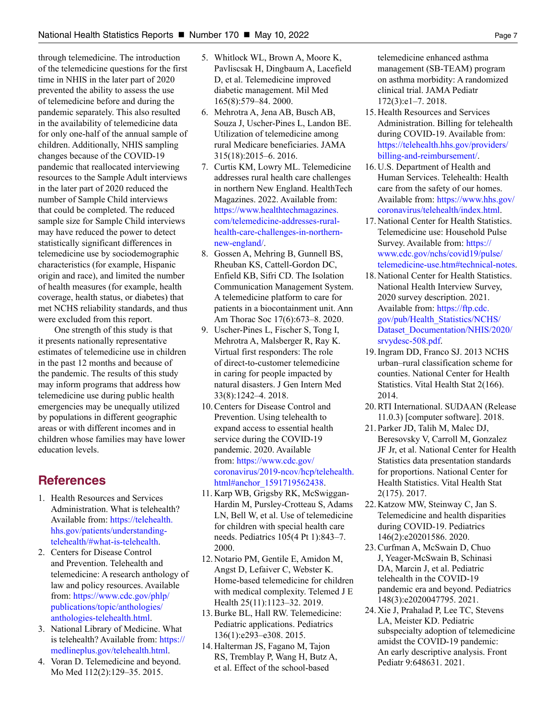through telemedicine. The introduction of the telemedicine questions for the first time in NHIS in the later part of 2020 prevented the ability to assess the use of telemedicine before and during the pandemic separately. This also resulted in the availability of telemedicine data for only one-half of the annual sample of children. Additionally, NHIS sampling changes because of the COVID-19 pandemic that reallocated interviewing resources to the Sample Adult interviews in the later part of 2020 reduced the number of Sample Child interviews that could be completed. The reduced sample size for Sample Child interviews may have reduced the power to detect statistically significant differences in telemedicine use by sociodemographic characteristics (for example, Hispanic origin and race), and limited the number of health measures (for example, health coverage, health status, or diabetes) that met NCHS reliability standards, and thus were excluded from this report.

One strength of this study is that it presents nationally representative estimates of telemedicine use in children in the past 12 months and because of the pandemic. The results of this study may inform programs that address how telemedicine use during public health emergencies may be unequally utilized by populations in different geographic areas or with different incomes and in children whose families may have lower education levels.

# **References**

- 1. Health Resources and Services Administration. What is telehealth? Available from: [https://telehealth.](https://telehealth.hhs.gov/patients/understanding-telehealth/#what-is-telehealth) [hhs.gov/patients/understanding](https://telehealth.hhs.gov/patients/understanding-telehealth/#what-is-telehealth)[telehealth/#what-is-telehealth](https://telehealth.hhs.gov/patients/understanding-telehealth/#what-is-telehealth).
- 2. Centers for Disease Control and Prevention. Telehealth and telemedicine: A research anthology of law and policy resources. Available from: [https://www.cdc.gov/phlp/](https://www.cdc.gov/phlp/publications/topic/anthologies/anthologies-telehealth.html) [publications/topic/anthologies/](https://www.cdc.gov/phlp/publications/topic/anthologies/anthologies-telehealth.html) [anthologies-telehealth.html](https://www.cdc.gov/phlp/publications/topic/anthologies/anthologies-telehealth.html).
- 3. National Library of Medicine. What is telehealth? Available from: [https://](https://medlineplus.gov/telehealth.html) [medlineplus.gov/telehealth.html.](https://medlineplus.gov/telehealth.html)
- 4. Voran D. Telemedicine and beyond. Mo Med 112(2):129–35. 2015.
- 5. Whitlock WL, Brown A, Moore K, Pavliscsak H, Dingbaum A, Lacefield D, et al. Telemedicine improved diabetic management. Mil Med 165(8):579–84. 2000.
- 6. Mehrotra A, Jena AB, Busch AB, Souza J, Uscher-Pines L, Landon BE. Utilization of telemedicine among rural Medicare beneficiaries. JAMA 315(18):2015–6. 2016.
- 7. Curtis KM, Lowry ML. Telemedicine addresses rural health care challenges in northern New England. HealthTech Magazines. 2022. Available from: [https://www.healthtechmagazines.](https://www.healthtechmagazines.com/telemedicine-addresses-rural-health-care-challenges-in-northern-new-england/) [com/telemedicine-addresses-rural](https://www.healthtechmagazines.com/telemedicine-addresses-rural-health-care-challenges-in-northern-new-england/)[health-care-challenges-in-northern](https://www.healthtechmagazines.com/telemedicine-addresses-rural-health-care-challenges-in-northern-new-england/)[new-england/](https://www.healthtechmagazines.com/telemedicine-addresses-rural-health-care-challenges-in-northern-new-england/).
- 8. Gossen A, Mehring B, Gunnell BS, Rheuban KS, Cattell-Gordon DC, Enfield KB, Sifri CD. The Isolation Communication Management System. A telemedicine platform to care for patients in a biocontainment unit. Ann Am Thorac Soc 17(6):673–8. 2020.
- 9. Uscher-Pines L, Fischer S, Tong I, Mehrotra A, Malsberger R, Ray K. Virtual first responders: The role of direct-to-customer telemedicine in caring for people impacted by natural disasters. J Gen Intern Med 33(8):1242–4. 2018.
- 10. Centers for Disease Control and Prevention. Using telehealth to expand access to essential health service during the COVID-19 pandemic. 2020. Available from: [https://www.cdc.gov/](https://www.cdc.gov/coronavirus/2019-ncov/hcp/telehealth.html#anchor_1591719562438) [coronavirus/2019-ncov/hcp/telehealth.](https://www.cdc.gov/coronavirus/2019-ncov/hcp/telehealth.html#anchor_1591719562438) [html#anchor\\_1591719562438.](https://www.cdc.gov/coronavirus/2019-ncov/hcp/telehealth.html#anchor_1591719562438)
- 11. Karp WB, Grigsby RK, McSwiggan-Hardin M, Pursley-Crotteau S, Adams LN, Bell W, et al. Use of telemedicine for children with special health care needs. Pediatrics 105(4 Pt 1):843–7. 2000.
- 12. Notario PM, Gentile E, Amidon M, Angst D, Lefaiver C, Webster K. Home-based telemedicine for children with medical complexity. Telemed J E Health 25(11):1123–32. 2019.
- 13. Burke BL, Hall RW. Telemedicine: Pediatric applications. Pediatrics 136(1):e293–e308. 2015.
- 14. Halterman JS, Fagano M, Tajon RS, Tremblay P, Wang H, Butz A, et al. Effect of the school-based

telemedicine enhanced asthma management (SB-TEAM) program on asthma morbidity: A randomized clinical trial. JAMA Pediatr 172(3):e1–7. 2018.

- 15. Health Resources and Services Administration. Billing for telehealth during COVID-19. Available from: [https://telehealth.hhs.gov/providers/](https://telehealth.hhs.gov/providers/billing-and-reimbursement/) [billing-and-reimbursement/.](https://telehealth.hhs.gov/providers/billing-and-reimbursement/)
- 16. U.S. Department of Health and Human Services. Telehealth: Health care from the safety of our homes. Available from: [https://www.hhs.gov/](https://www.hhs.gov/coronavirus/telehealth/index.html) [coronavirus/telehealth/index.html.](https://www.hhs.gov/coronavirus/telehealth/index.html)
- 17. National Center for Health Statistics. Telemedicine use: Household Pulse Survey. Available from: [https://](https://www.cdc.gov/nchs/covid19/pulse/telemedicine-use.htm#technical-notes) [www.cdc.gov/nchs/covid19/pulse/](https://www.cdc.gov/nchs/covid19/pulse/telemedicine-use.htm#technical-notes) [telemedicine-use.htm#technical-notes](https://www.cdc.gov/nchs/covid19/pulse/telemedicine-use.htm#technical-notes).
- 18. National Center for Health Statistics. National Health Interview Survey, 2020 survey description. 2021. Available from: [https://ftp.cdc.](https://ftp.cdc.gov/pub/Health_Statistics/NCHS/Dataset_Documentation/NHIS/2020/srvydesc-508.pdf) [gov/pub/Health\\_Statistics/NCHS/](https://ftp.cdc.gov/pub/Health_Statistics/NCHS/Dataset_Documentation/NHIS/2020/srvydesc-508.pdf) [Dataset\\_Documentation/NHIS/2020/](https://ftp.cdc.gov/pub/Health_Statistics/NCHS/Dataset_Documentation/NHIS/2020/srvydesc-508.pdf) [srvydesc-508.pdf](https://ftp.cdc.gov/pub/Health_Statistics/NCHS/Dataset_Documentation/NHIS/2020/srvydesc-508.pdf).
- 19. Ingram DD, Franco SJ. 2013 NCHS urban–rural classification scheme for counties. National Center for Health Statistics. Vital Health Stat 2(166). 2014.
- 20. RTI International. SUDAAN (Release 11.0.3) [computer software]. 2018.
- 21. Parker JD, Talih M, Malec DJ, Beresovsky V, Carroll M, Gonzalez JF Jr, et al. National Center for Health Statistics data presentation standards for proportions. National Center for Health Statistics. Vital Health Stat 2(175). 2017.
- 22. Katzow MW, Steinway C, Jan S. Telemedicine and health disparities during COVID-19. Pediatrics 146(2):e20201586. 2020.
- 23. Curfman A, McSwain D, Chuo J, Yeager-McSwain B, Schinasi DA, Marcin J, et al. Pediatric telehealth in the COVID-19 pandemic era and beyond. Pediatrics 148(3):e2020047795. 2021.
- 24. Xie J, Prahalad P, Lee TC, Stevens LA, Meister KD. Pediatric subspecialty adoption of telemedicine amidst the COVID-19 pandemic: An early descriptive analysis. Front Pediatr 9:648631. 2021.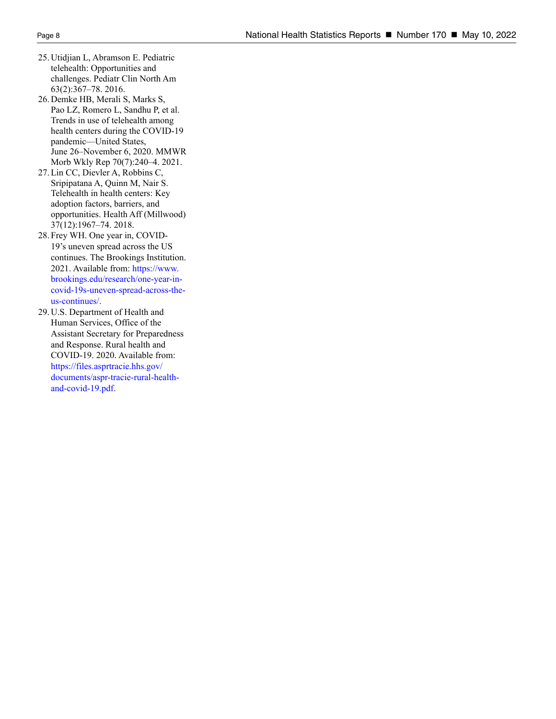- 25. Utidjian L, Abramson E. Pediatric telehealth: Opportunities and challenges. Pediatr Clin North Am 63(2):367–78. 2016.
- 26. Demke HB, Merali S, Marks S, Pao LZ, Romero L, Sandhu P, et al. Trends in use of telehealth among health centers during the COVID-19 pandemic—United States, June 26–November 6, 2020. MMWR Morb Wkly Rep 70(7):240–4. 2021.
- 27. Lin CC, Dievler A, Robbins C, Sripipatana A, Quinn M, Nair S. Telehealth in health centers: Key adoption factors, barriers, and opportunities. Health Aff (Millwood) 37(12):1967–74. 2018.
- 28. Frey WH. One year in, COVID-19's uneven spread across the US continues. The Brookings Institution. 2021. Available from: [https://www.](https://www.brookings.edu/research/one-year-in-covid-19s-uneven-spread-across-the-us-continues/) [brookings.edu/research/one-year-in](https://www.brookings.edu/research/one-year-in-covid-19s-uneven-spread-across-the-us-continues/)[covid-19s-uneven-spread-across-the](https://www.brookings.edu/research/one-year-in-covid-19s-uneven-spread-across-the-us-continues/)[us-continues/](https://www.brookings.edu/research/one-year-in-covid-19s-uneven-spread-across-the-us-continues/).
- 29. U.S. Department of Health and Human Services, Office of the Assistant Secretary for Preparedness and Response. Rural health and COVID-19. 2020. Available from: [https://files.asprtracie.hhs.gov/](https://files.asprtracie.hhs.gov/documents/aspr-tracie-rural-health-and-covid-19.pdf) [documents/aspr-tracie-rural-health](https://files.asprtracie.hhs.gov/documents/aspr-tracie-rural-health-and-covid-19.pdf)[and-covid-19.pdf](https://files.asprtracie.hhs.gov/documents/aspr-tracie-rural-health-and-covid-19.pdf).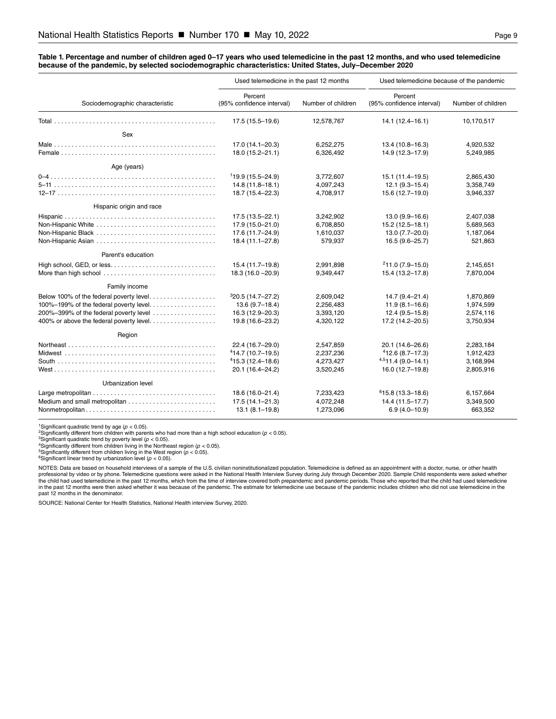#### <span id="page-8-0"></span>**Table 1. Percentage and number of children aged 0–17 years who used telemedicine in the past 12 months, and who used telemedicine because of the pandemic, by selected sociodemographic characteristics: United States, July–December 2020**

|                                                                                                                                                                        | Used telemedicine in the past 12 months                                            |                                                  | Used telemedicine because of the pandemic                                          |                                                  |
|------------------------------------------------------------------------------------------------------------------------------------------------------------------------|------------------------------------------------------------------------------------|--------------------------------------------------|------------------------------------------------------------------------------------|--------------------------------------------------|
| Sociodemographic characteristic                                                                                                                                        | Percent<br>(95% confidence interval)                                               | Number of children                               | Percent<br>(95% confidence interval)                                               | Number of children                               |
|                                                                                                                                                                        | 17.5 (15.5-19.6)                                                                   | 12,578,767                                       | $14.1(12.4 - 16.1)$                                                                | 10,170,517                                       |
| Sex                                                                                                                                                                    |                                                                                    |                                                  |                                                                                    |                                                  |
|                                                                                                                                                                        | 17.0 (14.1-20.3)<br>18.0 (15.2-21.1)                                               | 6,252,275<br>6,326,492                           | $13.4(10.8 - 16.3)$<br>14.9 (12.3-17.9)                                            | 4,920,532<br>5,249,985                           |
| Age (years)                                                                                                                                                            |                                                                                    |                                                  |                                                                                    |                                                  |
|                                                                                                                                                                        | $119.9(15.5 - 24.9)$<br>$14.8(11.8 - 18.1)$<br>18.7 (15.4-22.3)                    | 3,772,607<br>4,097,243<br>4,708,917              | $15.1(11.4 - 19.5)$<br>$12.1(9.3 - 15.4)$<br>15.6 (12.7-19.0)                      | 2,865,430<br>3,358,749<br>3,946,337              |
| Hispanic origin and race                                                                                                                                               |                                                                                    |                                                  |                                                                                    |                                                  |
| Non-Hispanic White                                                                                                                                                     | 17.5 (13.5-22.1)<br>17.9 (15.0-21.0)<br>17.6 (11.7-24.9)<br>18.4 (11.1-27.8)       | 3,242,902<br>6,708,850<br>1,610,037<br>579,937   | $13.0(9.9 - 16.6)$<br>$15.2(12.5 - 18.1)$<br>13.0 (7.7-20.0)<br>$16.5(9.6 - 25.7)$ | 2,407,038<br>5,689,563<br>1,187,064<br>521,863   |
| Parent's education                                                                                                                                                     |                                                                                    |                                                  |                                                                                    |                                                  |
|                                                                                                                                                                        | 15.4 (11.7-19.8)<br>$18.3(16.0 - 20.9)$                                            | 2,991,898<br>9,349,447                           | $211.0(7.9-15.0)$<br>15.4 (13.2-17.8)                                              | 2,145,651<br>7,870,004                           |
| Family income                                                                                                                                                          |                                                                                    |                                                  |                                                                                    |                                                  |
| Below 100% of the federal poverty level<br>100%-199% of the federal poverty level<br>200%-399% of the federal poverty level<br>400% or above the federal poverty level | $320.5(14.7 - 27.2)$<br>$13.6(9.7-18.4)$<br>16.3 (12.9-20.3)<br>19.8 (16.6-23.2)   | 2,609,042<br>2,256,483<br>3,393,120<br>4,320,122 | $14.7(9.4 - 21.4)$<br>$11.9(8.1 - 16.6)$<br>$12.4(9.5 - 15.8)$<br>17.2 (14.2-20.5) | 1.870.869<br>1,974,599<br>2,574,116<br>3,750,934 |
| Region                                                                                                                                                                 |                                                                                    |                                                  |                                                                                    |                                                  |
|                                                                                                                                                                        | 22.4 (16.7-29.0)<br>$414.7(10.7-19.5)$<br>$415.3(12.4 - 18.6)$<br>20.1 (16.4-24.2) | 2,547,859<br>2,237,236<br>4,273,427<br>3,520,245 | 20.1 (14.6-26.6)<br>$412.6(8.7-17.3)$<br>$4,511.4(9.0-14.1)$<br>16.0 (12.7-19.8)   | 2,283,184<br>1,912,423<br>3,168,994<br>2,805,916 |
| Urbanization level                                                                                                                                                     |                                                                                    |                                                  |                                                                                    |                                                  |
|                                                                                                                                                                        | 18.6 (16.0-21.4)<br>$17.5(14.1 - 21.3)$<br>$13.1(8.1 - 19.8)$                      | 7,233,423<br>4,072,248<br>1,273,096              | $615.8(13.3 - 18.6)$<br>14.4 (11.5-17.7)<br>$6.9(4.0 - 10.9)$                      | 6,157,664<br>3,349,500<br>663,352                |

1Significant quadratic trend by age (*p* < 0.05).

2Significantly different from children with parents who had more than a high school education (*p* < 0.05). 3Significant quadratic trend by poverty level (*p* < 0.05).

<sup>4</sup>Significantly different from children living in the Northeast region ( $p < 0.05$ ).

<sup>5</sup>Significantly different from children living in the West region (*p <* 0.05).<br><sup>6</sup>Significant linear trend by urbanization level (*p <* 0.05).

NOTES: Data are based on household interviews of a sample of the U.S. civilian noninstitutionalized population. Telemedicine is defined as an appointment with a doctor, nurse, or other health professional by video or by phone. Telemedicine questions were asked in the National Health Interview Survey during July through December 2020. Sample Child respondents were asked whether<br>the child had used telemedicine in past 12 months in the denominator.

SOURCE: National Center for Health Statistics, National Health interview Survey, 2020.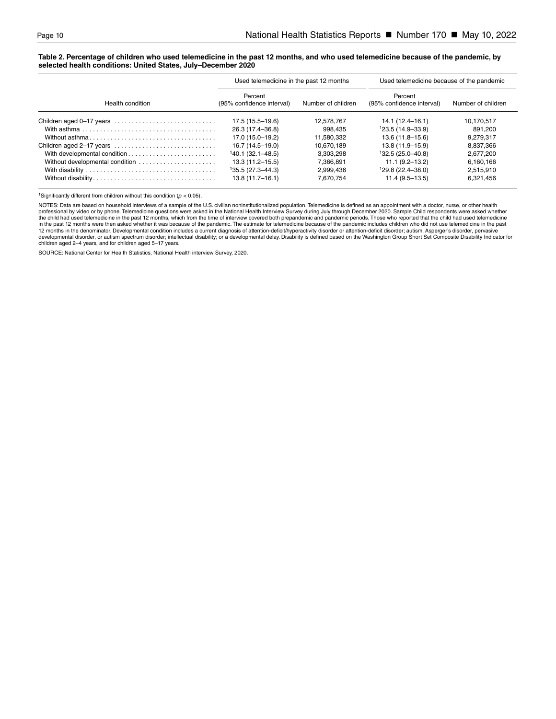#### <span id="page-9-0"></span>**Table 2. Percentage of children who used telemedicine in the past 12 months, and who used telemedicine because of the pandemic, by selected health conditions: United States, July–December 2020**

|                                 | Used telemedicine in the past 12 months |                    | Used telemedicine because of the pandemic |                    |
|---------------------------------|-----------------------------------------|--------------------|-------------------------------------------|--------------------|
| Health condition                | Percent<br>(95% confidence interval)    | Number of children | Percent<br>(95% confidence interval)      | Number of children |
| Children aged 0-17 years        | $17.5(15.5 - 19.6)$                     | 12.578.767         | $14.1(12.4 - 16.1)$                       | 10.170.517         |
|                                 | 26.3 (17.4–36.8)                        | 998.435            | $123.5(14.9-33.9)$                        | 891,200            |
|                                 | 17.0 (15.0–19.2)                        | 11,580,332         | $13.6(11.8 - 15.6)$                       | 9,279,317          |
| Children aged 2-17 years        | 16.7 (14.5–19.0)                        | 10.670.189         | $13.8(11.9 - 15.9)$                       | 8.837.366          |
|                                 | $140.1(32.1 - 48.5)$                    | 3.303.298          | $132.5(25.0-40.8)$                        | 2,677,200          |
| Without developmental condition | $13.3(11.2 - 15.5)$                     | 7.366.891          | $11.1(9.2 - 13.2)$                        | 6,160,166          |
|                                 | $135.5(27.3 - 44.3)$                    | 2.999.436          | $129.8(22.4 - 38.0)$                      | 2,515,910          |
|                                 | $13.8(11.7-16.1)$                       | 7.670.754          | $11.4(9.5 - 13.5)$                        | 6.321.456          |

<sup>1</sup>Significantly different from children without this condition ( $p < 0.05$ ).

NOTES: Data are based on household interviews of a sample of the U.S. civilian noninstitutionalized population. Telemedicine is defined as an appointment with a doctor, nurse, or other health professional by video or by phone. Telemedicine questions were asked in the National Health Interview Survey during July through December 2020. Sample Child respondents were asked whether<br>the child had used telemedicine in in the past 12 months were then asked whether it was because of the pandemic. The estimate for telemedicine because of the pandemic includes children who did not use telemedicine in the past<br>12 months in the denominator. D children aged 2–4 years, and for children aged 5–17 years.

SOURCE: National Center for Health Statistics, National Health interview Survey, 2020.